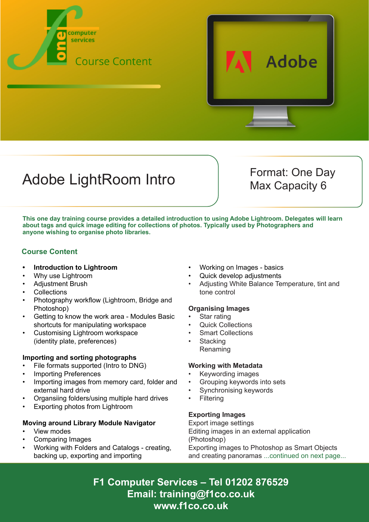



## Adobe LightRoom Intro Format: One Day

Max Capacity 6

**This one day training course provides a detailed introduction to using Adobe Lightroom. Delegates will learn about tags and quick image editing for collections of photos. Typically used by Photographers and anyone wishing to organise photo libraries.**

#### **Course Content**

- **• Introduction to Lightroom**
- Why use Lightroom
- Adjustment Brush
- **Collections**
- Photography workflow (Lightroom, Bridge and Photoshop)
- Getting to know the work area Modules Basic shortcuts for manipulating workspace
- Customising Lightroom workspace (identity plate, preferences)

#### **Importing and sorting photographs**

- File formats supported (Intro to DNG)
- Importing Preferences
- Importing images from memory card, folder and external hard drive
- Organsiing folders/using multiple hard drives
- Exporting photos from Lightroom

#### **Moving around Library Module Navigator**

- View modes
- Comparing Images
- Working with Folders and Catalogs creating, backing up, exporting and importing
- Working on Images basics
- Quick develop adjustments
- Adjusting White Balance Temperature, tint and tone control

#### **Organising Images**

- Star rating
- Quick Collections
- **Smart Collections**
- **Stacking** Renaming

#### **Working with Metadata**

- Keywording images
- Grouping keywords into sets
- Synchronising keywords
- **Filtering**

#### **Exporting Images**

Export image settings Editing images in an external application (Photoshop) Exporting images to Photoshop as Smart Objects and creating panoramas ...continued on next page...

**F1 Computer Services – Tel 01202 876529 Email: training@f1co.co.uk www.f1co.co.uk**